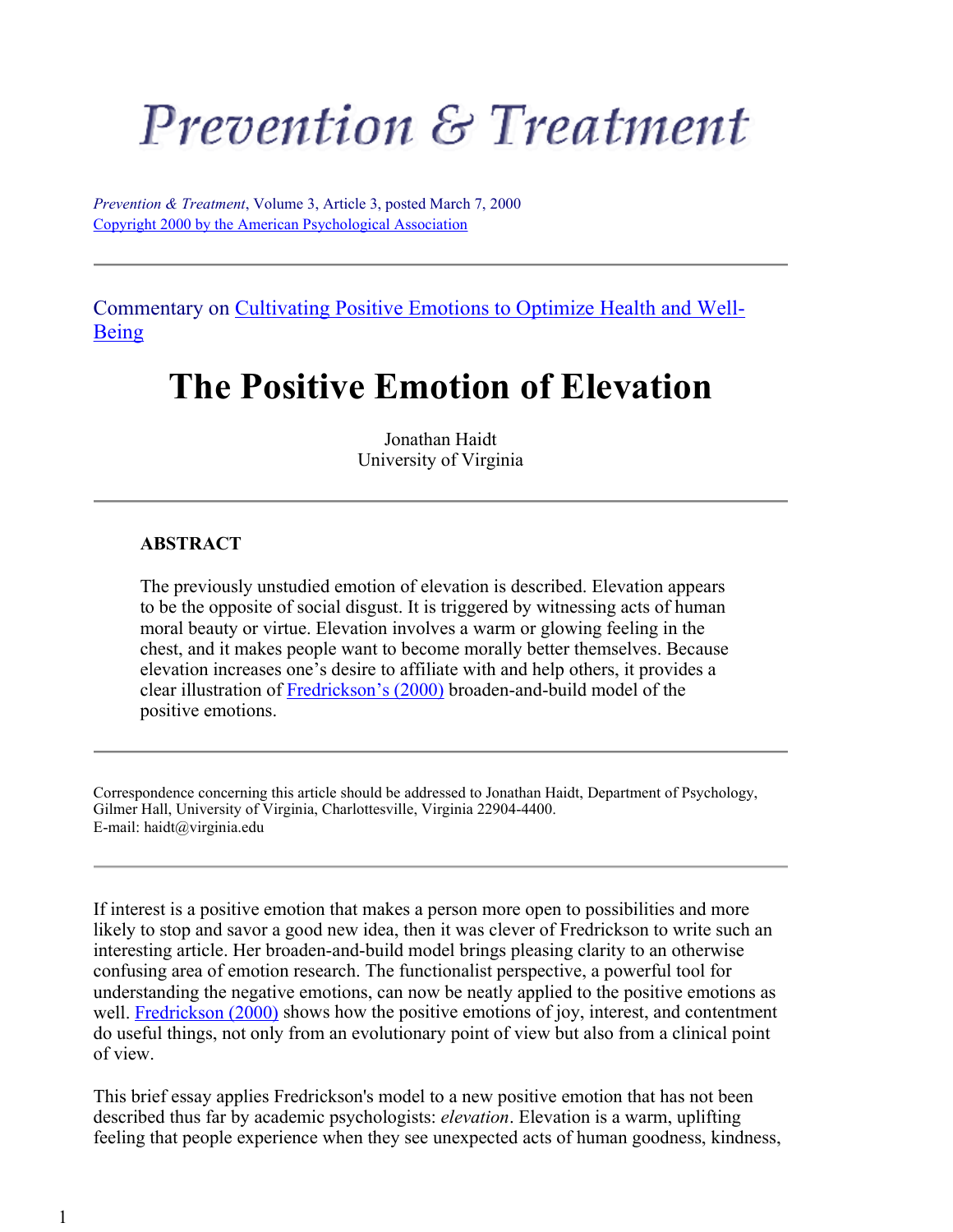# **Prevention & Treatment**

*Prevention & Treatment*, Volume 3, Article 3, posted March 7, 2000 Copyright 2000 by the American Psychological Association

Commentary on Cultivating Positive Emotions to Optimize Health and Well-Being

## **The Positive Emotion of Elevation**

Jonathan Haidt University of Virginia

#### **ABSTRACT**

The previously unstudied emotion of elevation is described. Elevation appears to be the opposite of social disgust. It is triggered by witnessing acts of human moral beauty or virtue. Elevation involves a warm or glowing feeling in the chest, and it makes people want to become morally better themselves. Because elevation increases one's desire to affiliate with and help others, it provides a clear illustration of Fredrickson's (2000) broaden-and-build model of the positive emotions.

Correspondence concerning this article should be addressed to Jonathan Haidt, Department of Psychology, Gilmer Hall, University of Virginia, Charlottesville, Virginia 22904-4400. E-mail: haidt@virginia.edu

If interest is a positive emotion that makes a person more open to possibilities and more likely to stop and savor a good new idea, then it was clever of Fredrickson to write such an interesting article. Her broaden-and-build model brings pleasing clarity to an otherwise confusing area of emotion research. The functionalist perspective, a powerful tool for understanding the negative emotions, can now be neatly applied to the positive emotions as well. Fredrickson (2000) shows how the positive emotions of joy, interest, and contentment do useful things, not only from an evolutionary point of view but also from a clinical point of view.

This brief essay applies Fredrickson's model to a new positive emotion that has not been described thus far by academic psychologists: *elevation*. Elevation is a warm, uplifting feeling that people experience when they see unexpected acts of human goodness, kindness,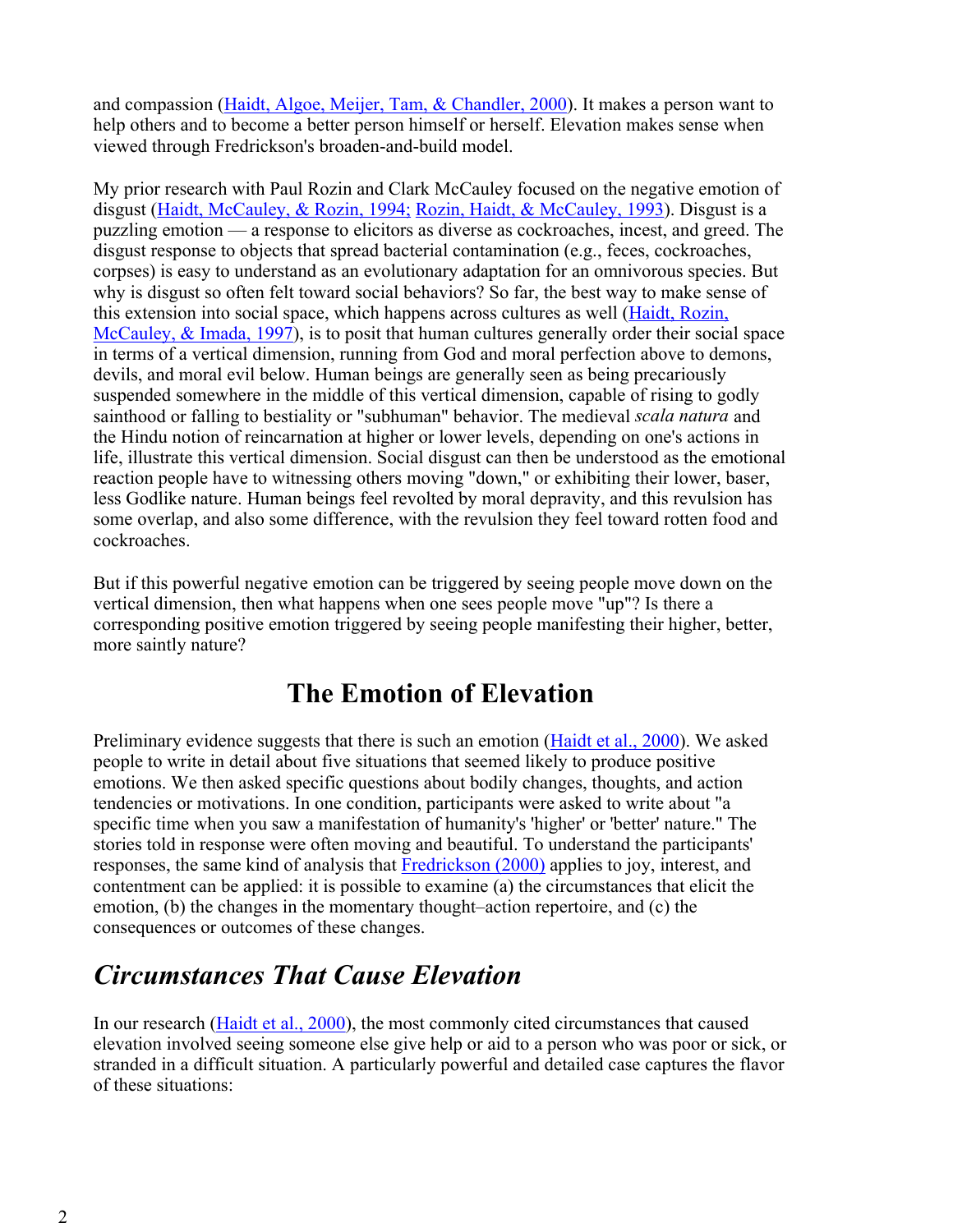and compassion (Haidt, Algoe, Meijer, Tam, & Chandler, 2000). It makes a person want to help others and to become a better person himself or herself. Elevation makes sense when viewed through Fredrickson's broaden-and-build model.

My prior research with Paul Rozin and Clark McCauley focused on the negative emotion of disgust (Haidt, McCauley, & Rozin, 1994; Rozin, Haidt, & McCauley, 1993). Disgust is a puzzling emotion — a response to elicitors as diverse as cockroaches, incest, and greed. The disgust response to objects that spread bacterial contamination (e.g., feces, cockroaches, corpses) is easy to understand as an evolutionary adaptation for an omnivorous species. But why is disgust so often felt toward social behaviors? So far, the best way to make sense of this extension into social space, which happens across cultures as well (Haidt, Rozin, McCauley, & Imada, 1997), is to posit that human cultures generally order their social space in terms of a vertical dimension, running from God and moral perfection above to demons, devils, and moral evil below. Human beings are generally seen as being precariously suspended somewhere in the middle of this vertical dimension, capable of rising to godly sainthood or falling to bestiality or "subhuman" behavior. The medieval *scala natura* and the Hindu notion of reincarnation at higher or lower levels, depending on one's actions in life, illustrate this vertical dimension. Social disgust can then be understood as the emotional reaction people have to witnessing others moving "down," or exhibiting their lower, baser, less Godlike nature. Human beings feel revolted by moral depravity, and this revulsion has some overlap, and also some difference, with the revulsion they feel toward rotten food and cockroaches.

But if this powerful negative emotion can be triggered by seeing people move down on the vertical dimension, then what happens when one sees people move "up"? Is there a corresponding positive emotion triggered by seeing people manifesting their higher, better, more saintly nature?

#### **The Emotion of Elevation**

Preliminary evidence suggests that there is such an emotion (Haidt et al., 2000). We asked people to write in detail about five situations that seemed likely to produce positive emotions. We then asked specific questions about bodily changes, thoughts, and action tendencies or motivations. In one condition, participants were asked to write about "a specific time when you saw a manifestation of humanity's 'higher' or 'better' nature." The stories told in response were often moving and beautiful. To understand the participants' responses, the same kind of analysis that Fredrickson (2000) applies to joy, interest, and contentment can be applied: it is possible to examine (a) the circumstances that elicit the emotion, (b) the changes in the momentary thought–action repertoire, and (c) the consequences or outcomes of these changes.

### *Circumstances That Cause Elevation*

In our research (Haidt et al., 2000), the most commonly cited circumstances that caused elevation involved seeing someone else give help or aid to a person who was poor or sick, or stranded in a difficult situation. A particularly powerful and detailed case captures the flavor of these situations: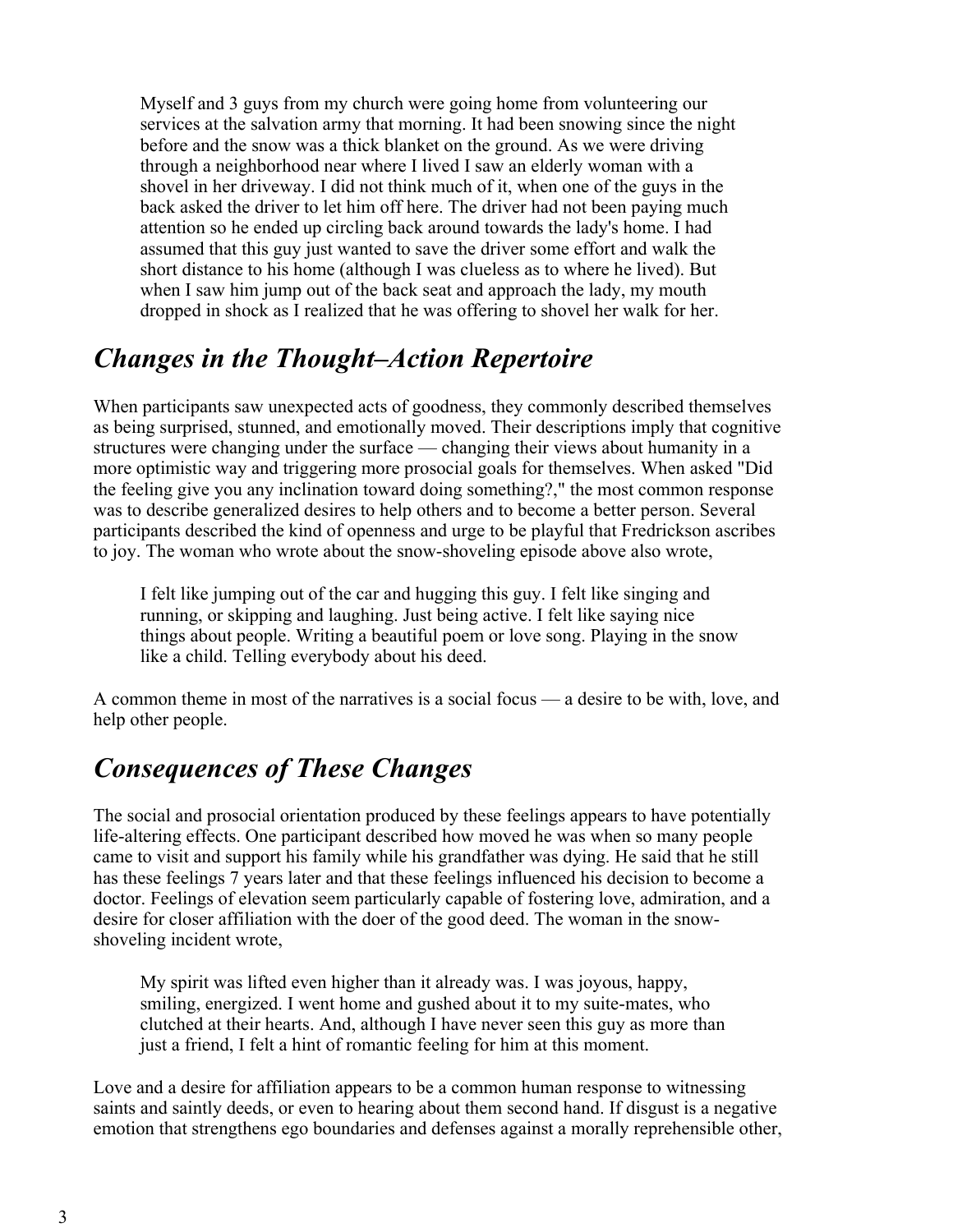Myself and 3 guys from my church were going home from volunteering our services at the salvation army that morning. It had been snowing since the night before and the snow was a thick blanket on the ground. As we were driving through a neighborhood near where I lived I saw an elderly woman with a shovel in her driveway. I did not think much of it, when one of the guys in the back asked the driver to let him off here. The driver had not been paying much attention so he ended up circling back around towards the lady's home. I had assumed that this guy just wanted to save the driver some effort and walk the short distance to his home (although I was clueless as to where he lived). But when I saw him jump out of the back seat and approach the lady, my mouth dropped in shock as I realized that he was offering to shovel her walk for her.

#### *Changes in the Thought–Action Repertoire*

When participants saw unexpected acts of goodness, they commonly described themselves as being surprised, stunned, and emotionally moved. Their descriptions imply that cognitive structures were changing under the surface — changing their views about humanity in a more optimistic way and triggering more prosocial goals for themselves. When asked "Did the feeling give you any inclination toward doing something?," the most common response was to describe generalized desires to help others and to become a better person. Several participants described the kind of openness and urge to be playful that Fredrickson ascribes to joy. The woman who wrote about the snow-shoveling episode above also wrote,

I felt like jumping out of the car and hugging this guy. I felt like singing and running, or skipping and laughing. Just being active. I felt like saying nice things about people. Writing a beautiful poem or love song. Playing in the snow like a child. Telling everybody about his deed.

A common theme in most of the narratives is a social focus — a desire to be with, love, and help other people.

### *Consequences of These Changes*

The social and prosocial orientation produced by these feelings appears to have potentially life-altering effects. One participant described how moved he was when so many people came to visit and support his family while his grandfather was dying. He said that he still has these feelings 7 years later and that these feelings influenced his decision to become a doctor. Feelings of elevation seem particularly capable of fostering love, admiration, and a desire for closer affiliation with the doer of the good deed. The woman in the snowshoveling incident wrote,

My spirit was lifted even higher than it already was. I was joyous, happy, smiling, energized. I went home and gushed about it to my suite-mates, who clutched at their hearts. And, although I have never seen this guy as more than just a friend, I felt a hint of romantic feeling for him at this moment.

Love and a desire for affiliation appears to be a common human response to witnessing saints and saintly deeds, or even to hearing about them second hand. If disgust is a negative emotion that strengthens ego boundaries and defenses against a morally reprehensible other,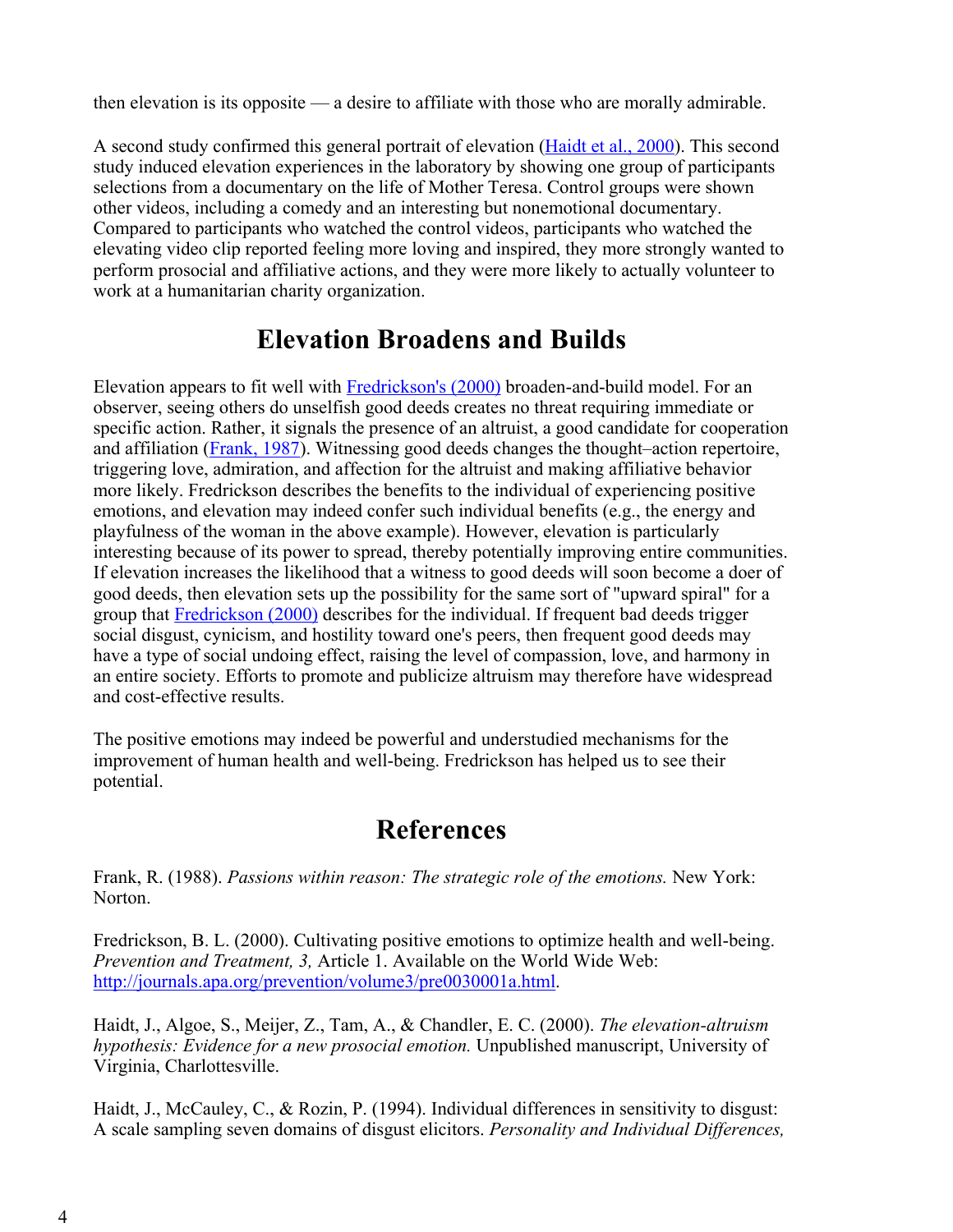then elevation is its opposite — a desire to affiliate with those who are morally admirable.

A second study confirmed this general portrait of elevation (Haidt et al., 2000). This second study induced elevation experiences in the laboratory by showing one group of participants selections from a documentary on the life of Mother Teresa. Control groups were shown other videos, including a comedy and an interesting but nonemotional documentary. Compared to participants who watched the control videos, participants who watched the elevating video clip reported feeling more loving and inspired, they more strongly wanted to perform prosocial and affiliative actions, and they were more likely to actually volunteer to work at a humanitarian charity organization.

#### **Elevation Broadens and Builds**

Elevation appears to fit well with Fredrickson's (2000) broaden-and-build model. For an observer, seeing others do unselfish good deeds creates no threat requiring immediate or specific action. Rather, it signals the presence of an altruist, a good candidate for cooperation and affiliation (Frank, 1987). Witnessing good deeds changes the thought–action repertoire, triggering love, admiration, and affection for the altruist and making affiliative behavior more likely. Fredrickson describes the benefits to the individual of experiencing positive emotions, and elevation may indeed confer such individual benefits (e.g., the energy and playfulness of the woman in the above example). However, elevation is particularly interesting because of its power to spread, thereby potentially improving entire communities. If elevation increases the likelihood that a witness to good deeds will soon become a doer of good deeds, then elevation sets up the possibility for the same sort of "upward spiral" for a group that Fredrickson (2000) describes for the individual. If frequent bad deeds trigger social disgust, cynicism, and hostility toward one's peers, then frequent good deeds may have a type of social undoing effect, raising the level of compassion, love, and harmony in an entire society. Efforts to promote and publicize altruism may therefore have widespread and cost-effective results.

The positive emotions may indeed be powerful and understudied mechanisms for the improvement of human health and well-being. Fredrickson has helped us to see their potential.

#### **References**

Frank, R. (1988). *Passions within reason: The strategic role of the emotions.* New York: Norton.

Fredrickson, B. L. (2000). Cultivating positive emotions to optimize health and well-being. *Prevention and Treatment, 3,* Article 1. Available on the World Wide Web: http://journals.apa.org/prevention/volume3/pre0030001a.html.

Haidt, J., Algoe, S., Meijer, Z., Tam, A., & Chandler, E. C. (2000). *The elevation-altruism hypothesis: Evidence for a new prosocial emotion.* Unpublished manuscript, University of Virginia, Charlottesville.

Haidt, J., McCauley, C., & Rozin, P. (1994). Individual differences in sensitivity to disgust: A scale sampling seven domains of disgust elicitors. *Personality and Individual Differences,*